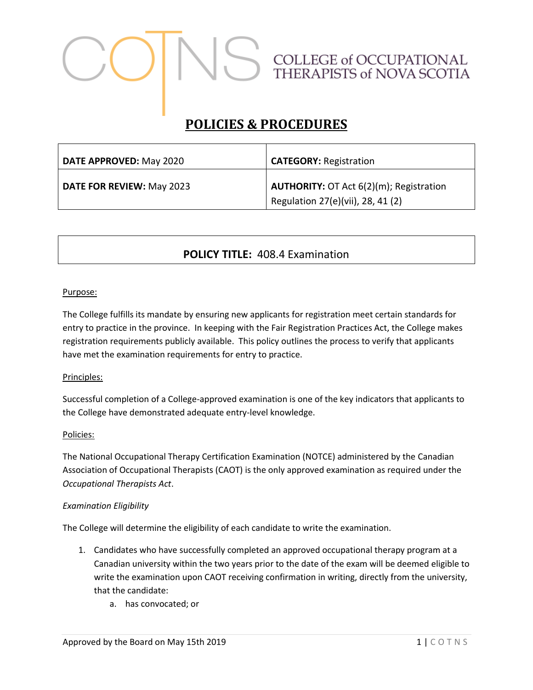# COLLEGE of OCCUPATIONAL<br>THERAPISTS of NOVA SCOTIA

# **POLICIES & PROCEDURES**

| DATE APPROVED: May 2020          | <b>CATEGORY: Registration</b>                                                       |
|----------------------------------|-------------------------------------------------------------------------------------|
| <b>DATE FOR REVIEW: May 2023</b> | <b>AUTHORITY:</b> OT Act 6(2)(m); Registration<br>Regulation 27(e)(vii), 28, 41 (2) |

# **POLICY TITLE:** 408.4 Examination

#### Purpose:

The College fulfills its mandate by ensuring new applicants for registration meet certain standards for entry to practice in the province. In keeping with the Fair Registration Practices Act, the College makes registration requirements publicly available. This policy outlines the process to verify that applicants have met the examination requirements for entry to practice.

#### Principles:

Successful completion of a College-approved examination is one of the key indicators that applicants to the College have demonstrated adequate entry-level knowledge.

#### Policies:

The National Occupational Therapy Certification Examination (NOTCE) administered by the Canadian Association of Occupational Therapists (CAOT) is the only approved examination as required under the *Occupational Therapists Act*.

#### *Examination Eligibility*

The College will determine the eligibility of each candidate to write the examination.

- 1. Candidates who have successfully completed an approved occupational therapy program at a Canadian university within the two years prior to the date of the exam will be deemed eligible to write the examination upon CAOT receiving confirmation in writing, directly from the university, that the candidate:
	- a. has convocated; or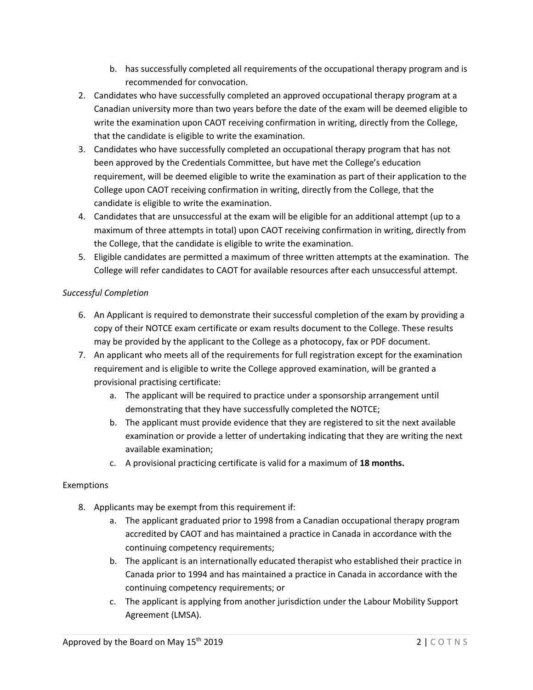- b. has successfully completed all requirements of the occupational therapy program and is recommended for convocation.
- 2. Candidates who have successfully completed an approved occupational therapy program at a Canadian university more than two years before the date of the exam will be deemed eligible to write the examination upon CAOT receiving confirmation in writing, directly from the College, that the candidate is eligible to write the examination.
- 3. Candidates who have successfully completed an occupational therapy program that has not been approved by the Credentials Committee, but have met the College's education requirement, will be deemed eligible to write the examination as part of their application to the College upon CAOT receiving confirmation in writing, directly from the College, that the candidate is eligible to write the examination.
- 4. Candidates that are unsuccessful at the exam will be eligible for an additional attempt (up to a maximum of three attempts in total) upon CAOT receiving confirmation in writing, directly from the College, that the candidate is eligible to write the examination.
- 5. Eligible candidates are permitted a maximum of three written attempts at the examination. The College will refer candidates to CAOT for available resources after each unsuccessful attempt.

## *Successful Completion*

- 6. An Applicant is required to demonstrate their successful completion of the exam by providing a copy of their NOTCE exam certificate or exam results document to the College. These results may be provided by the applicant to the College as a photocopy, fax or PDF document.
- 7. An applicant who meets all of the requirements for full registration except for the examination requirement and is eligible to write the College approved examination, will be granted a provisional practising certificate:
	- a. The applicant will be required to practice under a sponsorship arrangement until demonstrating that they have successfully completed the NOTCE;
	- b. The applicant must provide evidence that they are registered to sit the next available examination or provide a letter of undertaking indicating that they are writing the next available examination;
	- c. A provisional practicing certificate is valid for a maximum of **18 months.**

## Exemptions

- 8. Applicants may be exempt from this requirement if:
	- a. The applicant graduated prior to 1998 from a Canadian occupational therapy program accredited by CAOT and has maintained a practice in Canada in accordance with the continuing competency requirements;
	- b. The applicant is an internationally educated therapist who established their practice in Canada prior to 1994 and has maintained a practice in Canada in accordance with the continuing competency requirements; or
	- c. The applicant is applying from another jurisdiction under the Labour Mobility Support Agreement (LMSA).